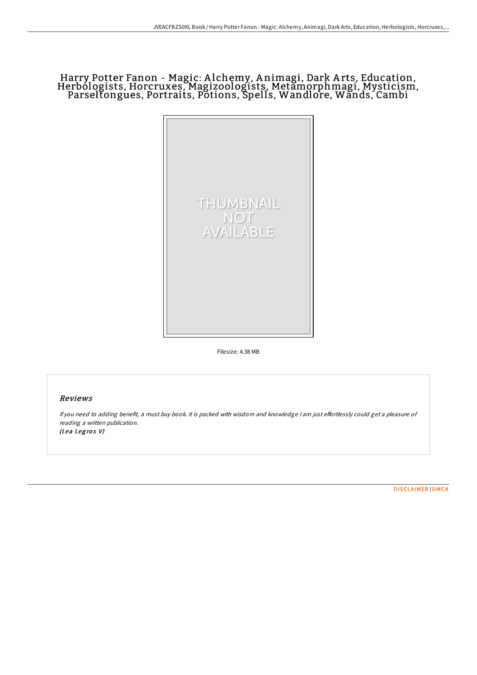## Harry Potter Fanon - Magic: <sup>A</sup> lchemy, <sup>A</sup> nimagi, Dark <sup>A</sup> rts, Education, Herbologists, Horcruxes, Magizoologists, Metamorphmagi, Mysticism, Parseltongues, Portraits, Potions, Spells, Wandlore, Wands, Cambi



Filesize: 4.38 MB

## Reviews

If you need to adding benefit, a must buy book. It is packed with wisdom and knowledge I am just effortlessly could get a pleasure of reading <sup>a</sup> written publication. (Lea Legros V)

[DISCLAIMER](http://almighty24.tech/disclaimer.html) | [DMCA](http://almighty24.tech/dmca.html)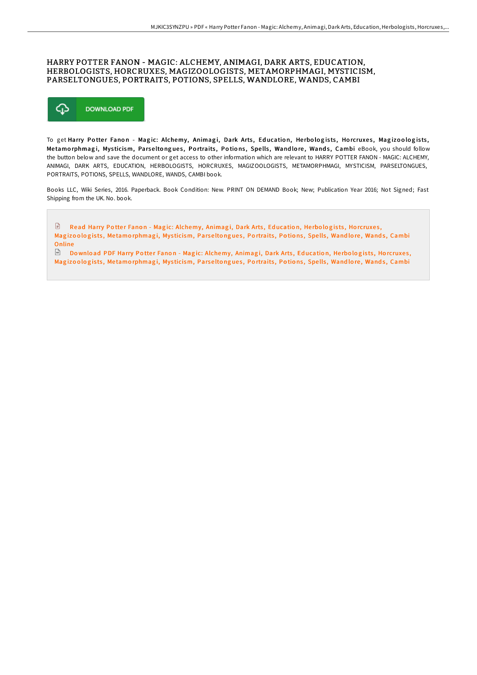## HARRY POTTER FANON - MAGIC: ALCHEMY, ANIMAGI, DARK ARTS, EDUCATION, HERBOLOGISTS, HORCRUXES, MAGIZOOLOGISTS, METAMORPHMAGI, MYSTICISM, PARSELTONGUES, PORTRAITS, POTIONS, SPELLS, WANDLORE, WANDS, CAMBI



To get Harry Potter Fanon - Magic: Alchemy, Animagi, Dark Arts, Education, Herbologists, Horcruxes, Magizoologists, Metamorphmagi, Mysticism, Parseltongues, Portraits, Potions, Spells, Wandlore, Wands, Cambi eBook, you should follow the button below and save the document or get access to other information which are relevant to HARRY POTTER FANON - MAGIC: ALCHEMY, ANIMAGI, DARK ARTS, EDUCATION, HERBOLOGISTS, HORCRUXES, MAGIZOOLOGISTS, METAMORPHMAGI, MYSTICISM, PARSELTONGUES, PORTRAITS, POTIONS, SPELLS, WANDLORE, WANDS, CAMBI book.

Books LLC, Wiki Series, 2016. Paperback. Book Condition: New. PRINT ON DEMAND Book; New; Publication Year 2016; Not Signed; Fast Shipping from the UK. No. book.

 $\begin{array}{c} \hline \end{array}$ Read Harry Potter Fanon - Magic: [Alchemy,](http://almighty24.tech/harry-potter-fanon-magic-alchemy-animagi-dark-ar.html) Animagi, Dark Arts, Education, Herbologists, Horcruxes, Magizoologists, Metamorphmagi, Mysticism, Parseltongues, Portraits, Potions, Spells, Wandlore, Wands, Cambi Online

 $\mathbb F$  Download PDF Harry Potter Fanon - Magic: [Alchemy,](http://almighty24.tech/harry-potter-fanon-magic-alchemy-animagi-dark-ar.html) Animagi, Dark Arts, Education, Herbologists, Horcruxes, Magizoologists, Metamorphmagi, Mysticism, Parseltongues, Portraits, Potions, Spells, Wandlore, Wands, Cambi